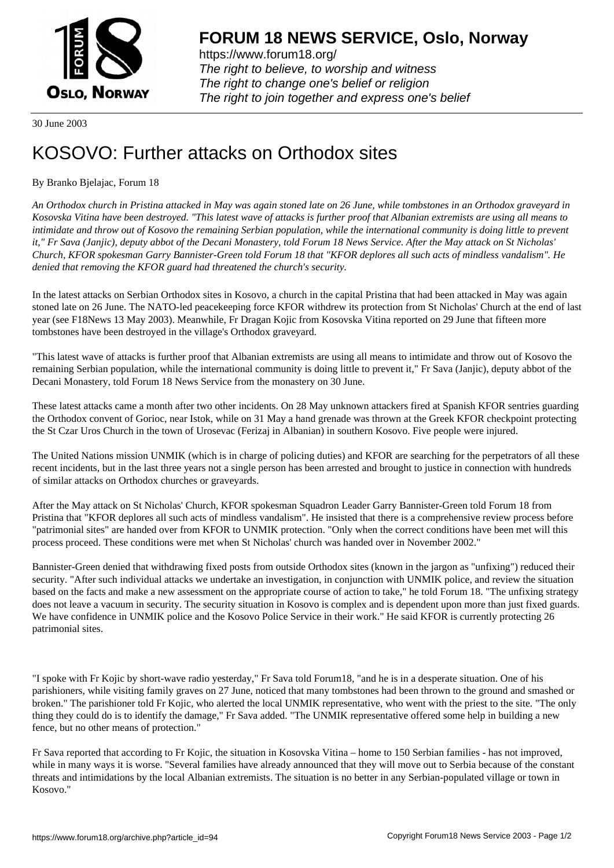

https://www.forum18.org/ The right to believe, to worship and witness The right to change one's belief or religion [The right to join together a](https://www.forum18.org/)nd express one's belief

30 June 2003

## [KOSOVO: Furth](https://www.forum18.org)er attacks on Orthodox sites

## By Branko Bjelajac, Forum 18

*An Orthodox church in Pristina attacked in May was again stoned late on 26 June, while tombstones in an Orthodox graveyard in Kosovska Vitina have been destroyed. "This latest wave of attacks is further proof that Albanian extremists are using all means to intimidate and throw out of Kosovo the remaining Serbian population, while the international community is doing little to prevent it," Fr Sava (Janjic), deputy abbot of the Decani Monastery, told Forum 18 News Service. After the May attack on St Nicholas' Church, KFOR spokesman Garry Bannister-Green told Forum 18 that "KFOR deplores all such acts of mindless vandalism". He denied that removing the KFOR guard had threatened the church's security.*

In the latest attacks on Serbian Orthodox sites in Kosovo, a church in the capital Pristina that had been attacked in May was again stoned late on 26 June. The NATO-led peacekeeping force KFOR withdrew its protection from St Nicholas' Church at the end of last year (see F18News 13 May 2003). Meanwhile, Fr Dragan Kojic from Kosovska Vitina reported on 29 June that fifteen more tombstones have been destroyed in the village's Orthodox graveyard.

"This latest wave of attacks is further proof that Albanian extremists are using all means to intimidate and throw out of Kosovo the remaining Serbian population, while the international community is doing little to prevent it," Fr Sava (Janjic), deputy abbot of the Decani Monastery, told Forum 18 News Service from the monastery on 30 June.

These latest attacks came a month after two other incidents. On 28 May unknown attackers fired at Spanish KFOR sentries guarding the Orthodox convent of Gorioc, near Istok, while on 31 May a hand grenade was thrown at the Greek KFOR checkpoint protecting the St Czar Uros Church in the town of Urosevac (Ferizaj in Albanian) in southern Kosovo. Five people were injured.

The United Nations mission UNMIK (which is in charge of policing duties) and KFOR are searching for the perpetrators of all these recent incidents, but in the last three years not a single person has been arrested and brought to justice in connection with hundreds of similar attacks on Orthodox churches or graveyards.

After the May attack on St Nicholas' Church, KFOR spokesman Squadron Leader Garry Bannister-Green told Forum 18 from Pristina that "KFOR deplores all such acts of mindless vandalism". He insisted that there is a comprehensive review process before "patrimonial sites" are handed over from KFOR to UNMIK protection. "Only when the correct conditions have been met will this process proceed. These conditions were met when St Nicholas' church was handed over in November 2002."

Bannister-Green denied that withdrawing fixed posts from outside Orthodox sites (known in the jargon as "unfixing") reduced their security. "After such individual attacks we undertake an investigation, in conjunction with UNMIK police, and review the situation based on the facts and make a new assessment on the appropriate course of action to take," he told Forum 18. "The unfixing strategy does not leave a vacuum in security. The security situation in Kosovo is complex and is dependent upon more than just fixed guards. We have confidence in UNMIK police and the Kosovo Police Service in their work." He said KFOR is currently protecting 26 patrimonial sites.

"I spoke with Fr Kojic by short-wave radio yesterday," Fr Sava told Forum18, "and he is in a desperate situation. One of his parishioners, while visiting family graves on 27 June, noticed that many tombstones had been thrown to the ground and smashed or broken." The parishioner told Fr Kojic, who alerted the local UNMIK representative, who went with the priest to the site. "The only thing they could do is to identify the damage," Fr Sava added. "The UNMIK representative offered some help in building a new fence, but no other means of protection."

Fr Sava reported that according to Fr Kojic, the situation in Kosovska Vitina – home to 150 Serbian families - has not improved, while in many ways it is worse. "Several families have already announced that they will move out to Serbia because of the constant threats and intimidations by the local Albanian extremists. The situation is no better in any Serbian-populated village or town in Kosovo."